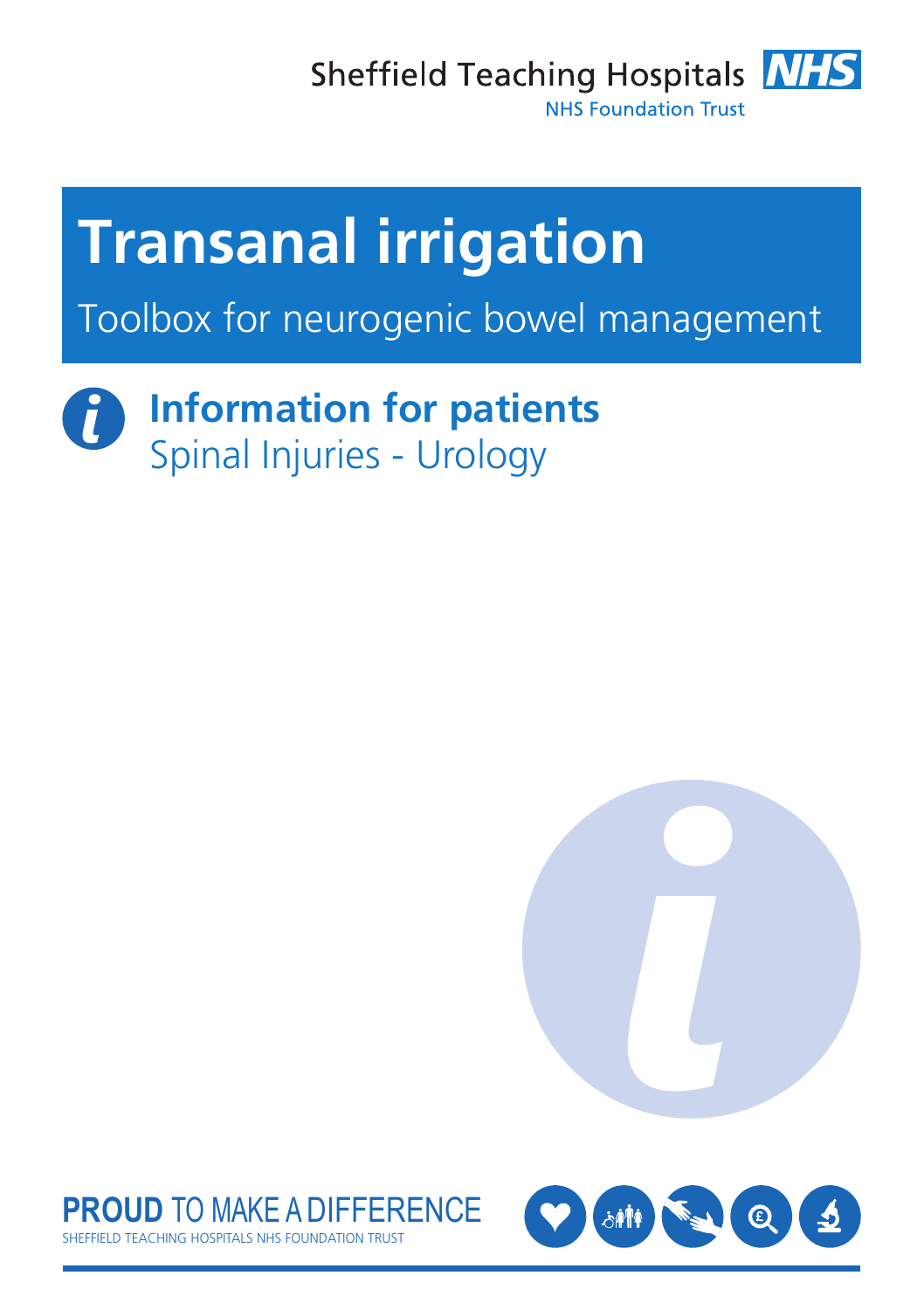Sheffield Teaching Hospitals **NHS** 



**NHS Foundation Trust** 

# **Transanal irrigation**

Toolbox for neurogenic bowel management

## **Information for patients** Spinal Injuries - Urology





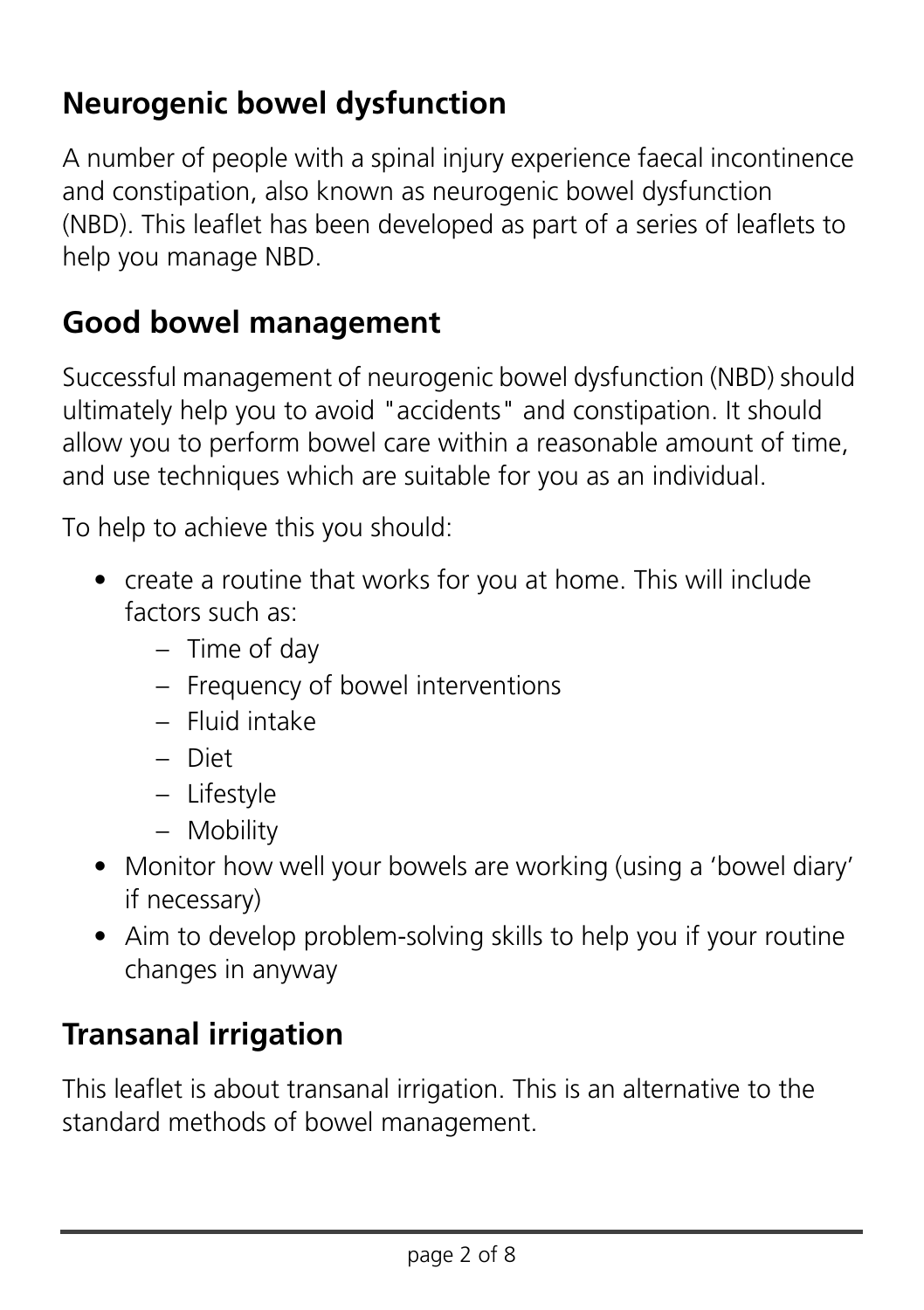#### **Neurogenic bowel dysfunction**

A number of people with a spinal injury experience faecal incontinence and constipation, also known as neurogenic bowel dysfunction (NBD). This leaflet has been developed as part of a series of leaflets to help you manage NBD.

#### **Good bowel management**

Successful management of neurogenic bowel dysfunction (NBD) should ultimately help you to avoid "accidents" and constipation. It should allow you to perform bowel care within a reasonable amount of time, and use techniques which are suitable for you as an individual.

To help to achieve this you should:

- create a routine that works for you at home. This will include factors such as:
	- Time of day
	- Frequency of bowel interventions
	- Fluid intake
	- Diet
	- Lifestyle
	- Mobility
- Monitor how well your bowels are working (using a 'bowel diary' if necessary)
- Aim to develop problem-solving skills to help you if your routine changes in anyway

#### **Transanal irrigation**

This leaflet is about transanal irrigation. This is an alternative to the standard methods of bowel management.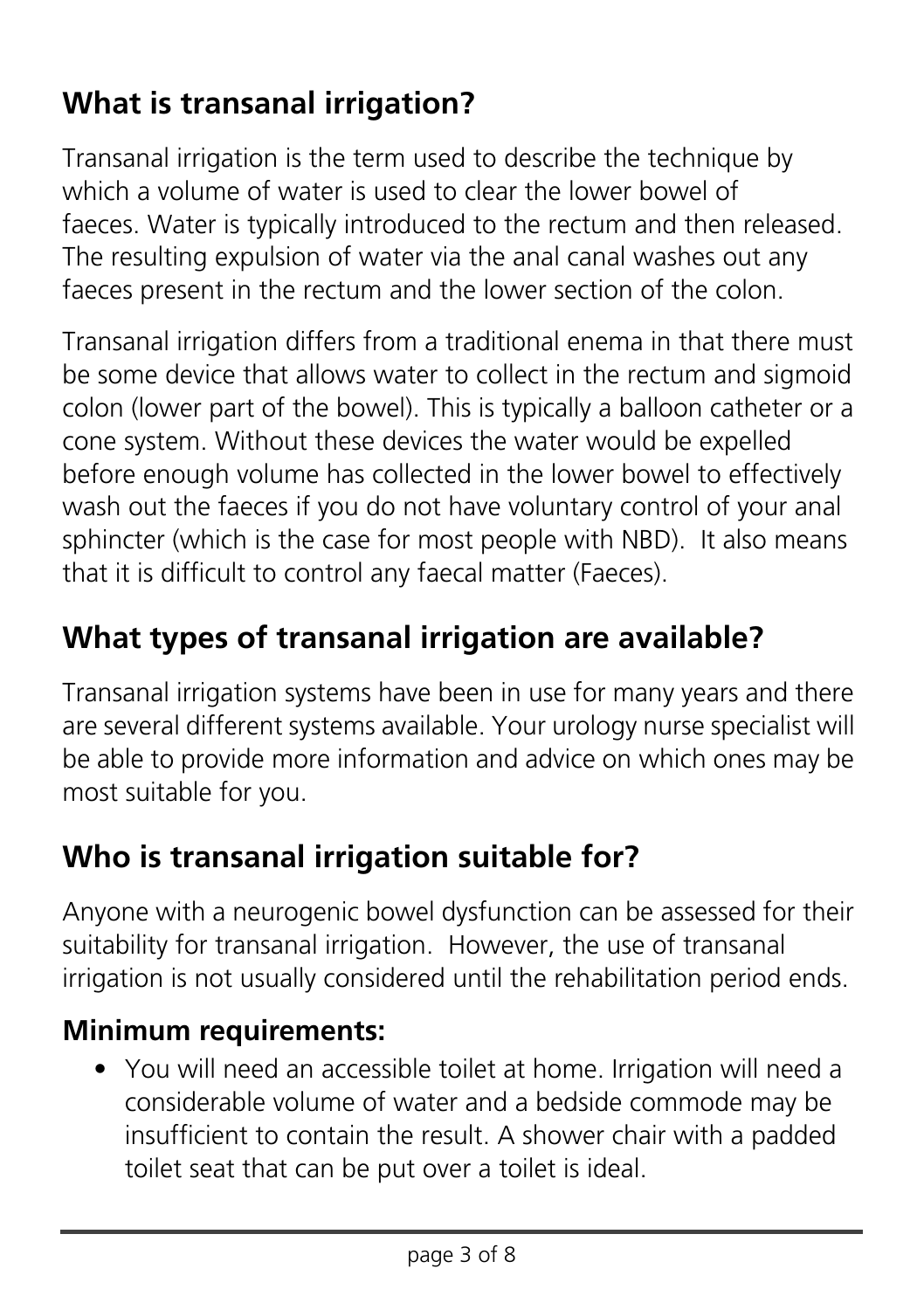## **What is transanal irrigation?**

Transanal irrigation is the term used to describe the technique by which a volume of water is used to clear the lower bowel of faeces. Water is typically introduced to the rectum and then released. The resulting expulsion of water via the anal canal washes out any faeces present in the rectum and the lower section of the colon.

Transanal irrigation differs from a traditional enema in that there must be some device that allows water to collect in the rectum and sigmoid colon (lower part of the bowel). This is typically a balloon catheter or a cone system. Without these devices the water would be expelled before enough volume has collected in the lower bowel to effectively wash out the faeces if you do not have voluntary control of your anal sphincter (which is the case for most people with NBD). It also means that it is difficult to control any faecal matter (Faeces).

#### **What types of transanal irrigation are available?**

Transanal irrigation systems have been in use for many years and there are several different systems available. Your urology nurse specialist will be able to provide more information and advice on which ones may be most suitable for you.

#### **Who is transanal irrigation suitable for?**

Anyone with a neurogenic bowel dysfunction can be assessed for their suitability for transanal irrigation. However, the use of transanal irrigation is not usually considered until the rehabilitation period ends.

#### **Minimum requirements:**

• You will need an accessible toilet at home. Irrigation will need a considerable volume of water and a bedside commode may be insufficient to contain the result. A shower chair with a padded toilet seat that can be put over a toilet is ideal.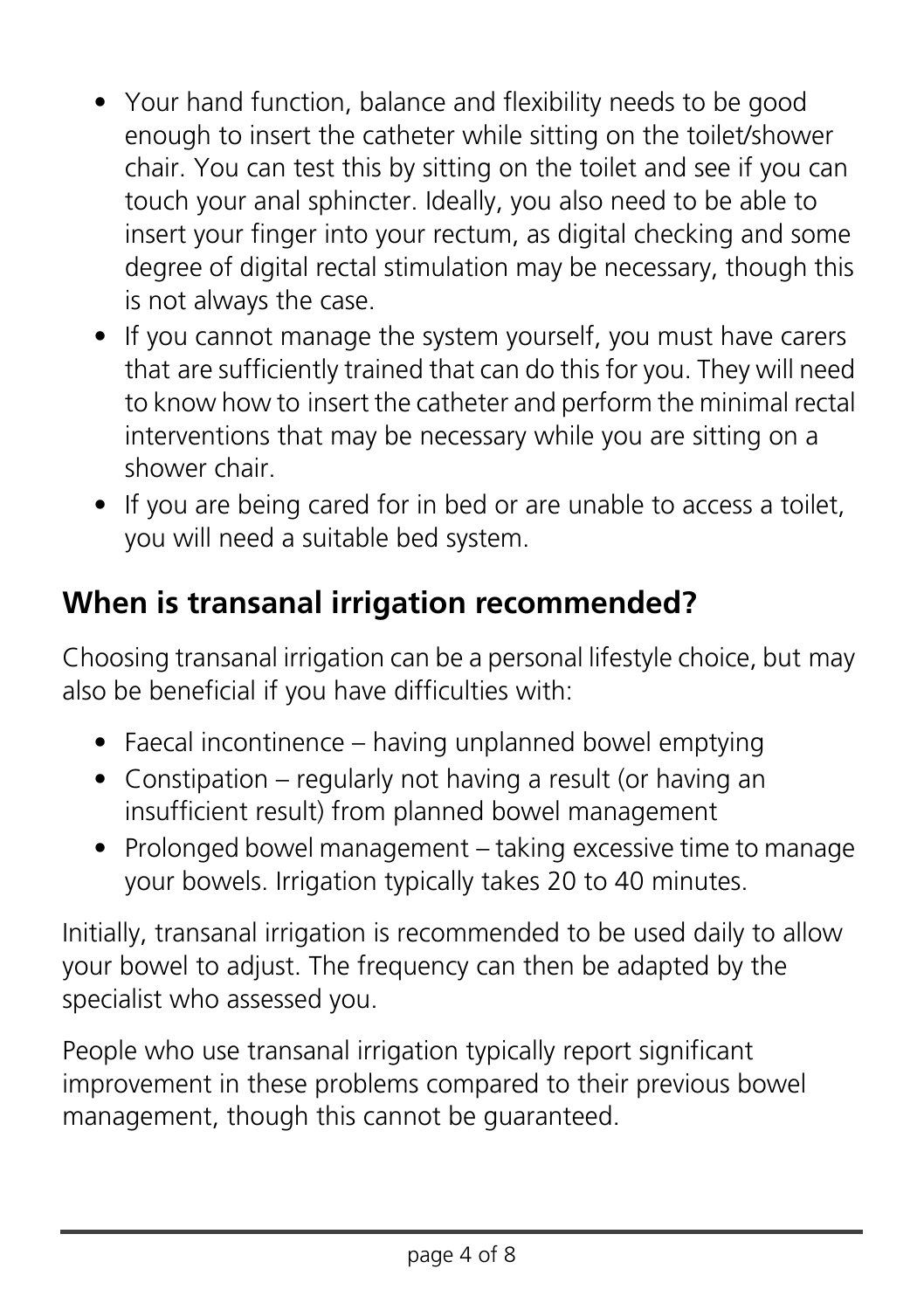- Your hand function, balance and flexibility needs to be good enough to insert the catheter while sitting on the toilet/shower chair. You can test this by sitting on the toilet and see if you can touch your anal sphincter. Ideally, you also need to be able to insert your finger into your rectum, as digital checking and some degree of digital rectal stimulation may be necessary, though this is not always the case.
- If you cannot manage the system yourself, you must have carers that are sufficiently trained that can do this for you. They will need to know how to insert the catheter and perform the minimal rectal interventions that may be necessary while you are sitting on a shower chair.
- If you are being cared for in bed or are unable to access a toilet. you will need a suitable bed system.

#### **When is transanal irrigation recommended?**

Choosing transanal irrigation can be a personal lifestyle choice, but may also be beneficial if you have difficulties with:

- Faecal incontinence having unplanned bowel emptying
- Constipation regularly not having a result (or having an insufficient result) from planned bowel management
- Prolonged bowel management taking excessive time to manage your bowels. Irrigation typically takes 20 to 40 minutes.

Initially, transanal irrigation is recommended to be used daily to allow your bowel to adjust. The frequency can then be adapted by the specialist who assessed you.

People who use transanal irrigation typically report significant improvement in these problems compared to their previous bowel management, though this cannot be guaranteed.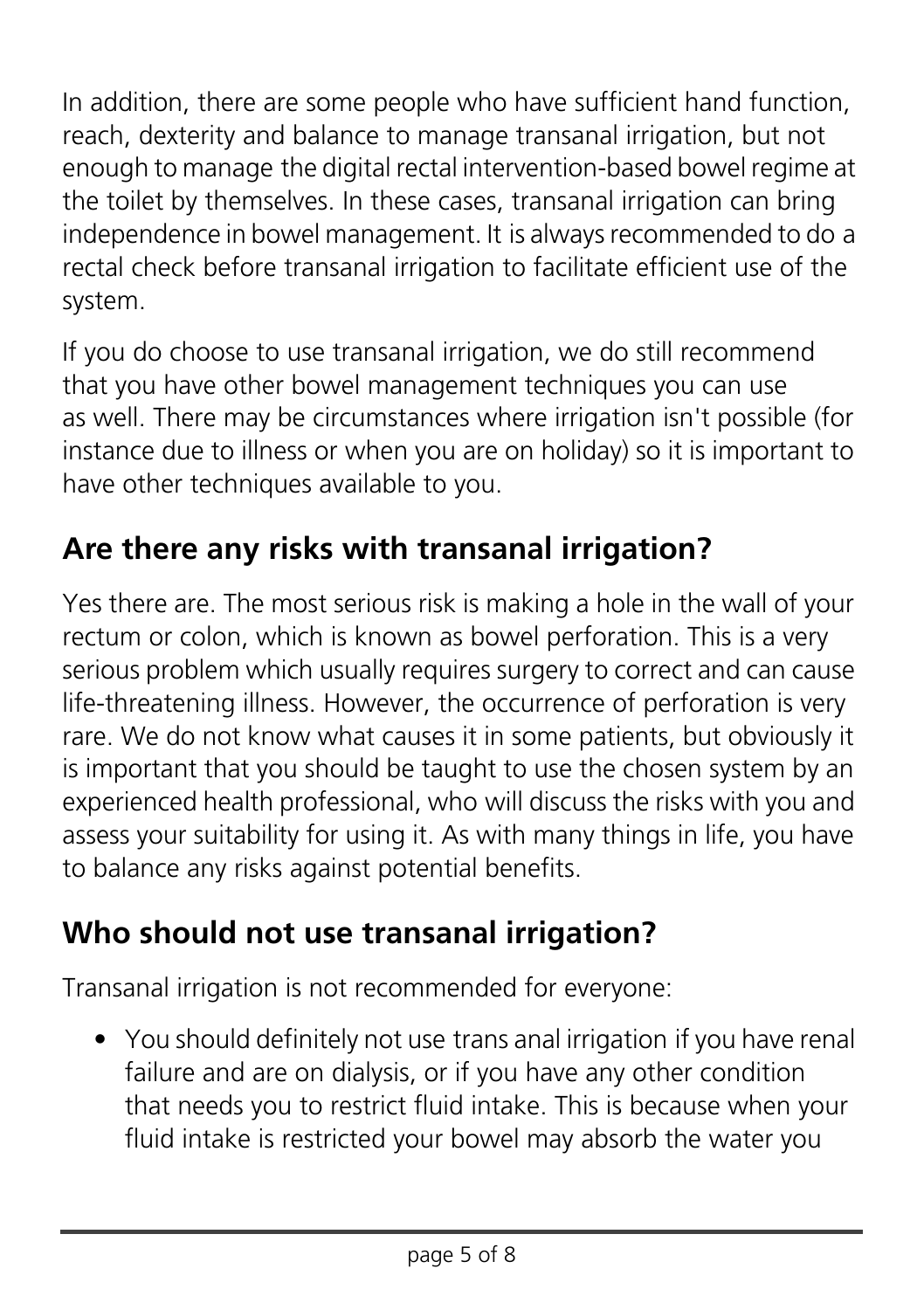In addition, there are some people who have sufficient hand function, reach, dexterity and balance to manage transanal irrigation, but not enough to manage the digital rectal intervention-based bowel regime at the toilet by themselves. In these cases, transanal irrigation can bring independence in bowel management. It is always recommended to do a rectal check before transanal irrigation to facilitate efficient use of the system.

If you do choose to use transanal irrigation, we do still recommend that you have other bowel management techniques you can use as well. There may be circumstances where irrigation isn't possible (for instance due to illness or when you are on holiday) so it is important to have other techniques available to you.

## **Are there any risks with transanal irrigation?**

Yes there are. The most serious risk is making a hole in the wall of your rectum or colon, which is known as bowel perforation. This is a very serious problem which usually requires surgery to correct and can cause life-threatening illness. However, the occurrence of perforation is very rare. We do not know what causes it in some patients, but obviously it is important that you should be taught to use the chosen system by an experienced health professional, who will discuss the risks with you and assess your suitability for using it. As with many things in life, you have to balance any risks against potential benefits.

#### **Who should not use transanal irrigation?**

Transanal irrigation is not recommended for everyone:

• You should definitely not use trans anal irrigation if you have renal failure and are on dialysis, or if you have any other condition that needs you to restrict fluid intake. This is because when your fluid intake is restricted your bowel may absorb the water you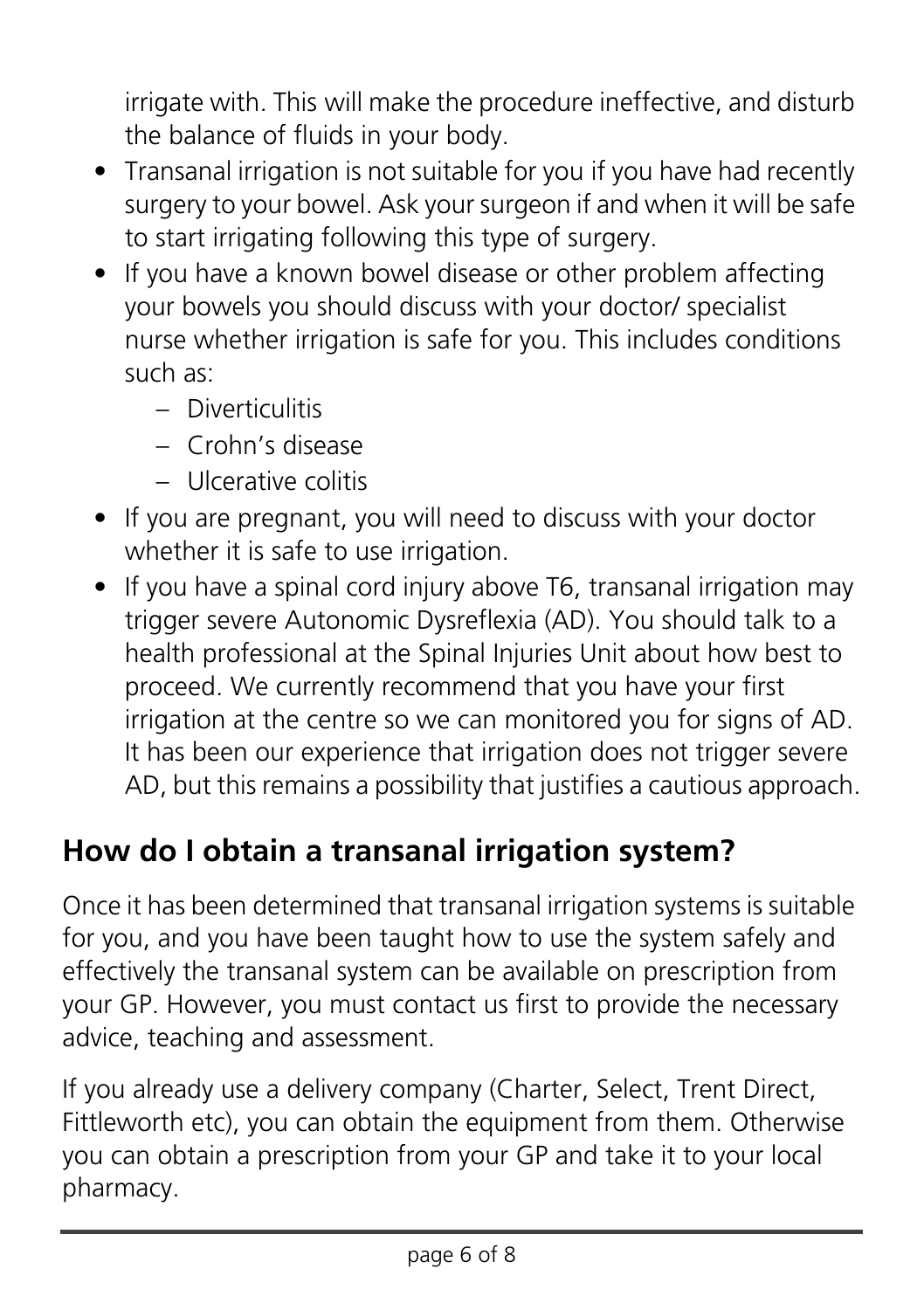irrigate with. This will make the procedure ineffective, and disturb the balance of fluids in your body.

- Transanal irrigation is not suitable for you if you have had recently surgery to your bowel. Ask your surgeon if and when it will be safe to start irrigating following this type of surgery.
- If you have a known bowel disease or other problem affecting your bowels you should discuss with your doctor/ specialist nurse whether irrigation is safe for you. This includes conditions such as:
	- Diverticulitis
	- Crohn's disease
	- Ulcerative colitis
- If you are pregnant, you will need to discuss with your doctor whether it is safe to use irrigation.
- If you have a spinal cord injury above T6, transanal irrigation may trigger severe Autonomic Dysreflexia (AD). You should talk to a health professional at the Spinal Injuries Unit about how best to proceed. We currently recommend that you have your first irrigation at the centre so we can monitored you for signs of AD. It has been our experience that irrigation does not trigger severe AD, but this remains a possibility that justifies a cautious approach.

#### **How do I obtain a transanal irrigation system?**

Once it has been determined that transanal irrigation systems is suitable for you, and you have been taught how to use the system safely and effectively the transanal system can be available on prescription from your GP. However, you must contact us first to provide the necessary advice, teaching and assessment.

If you already use a delivery company (Charter, Select, Trent Direct, Fittleworth etc), you can obtain the equipment from them. Otherwise you can obtain a prescription from your GP and take it to your local pharmacy.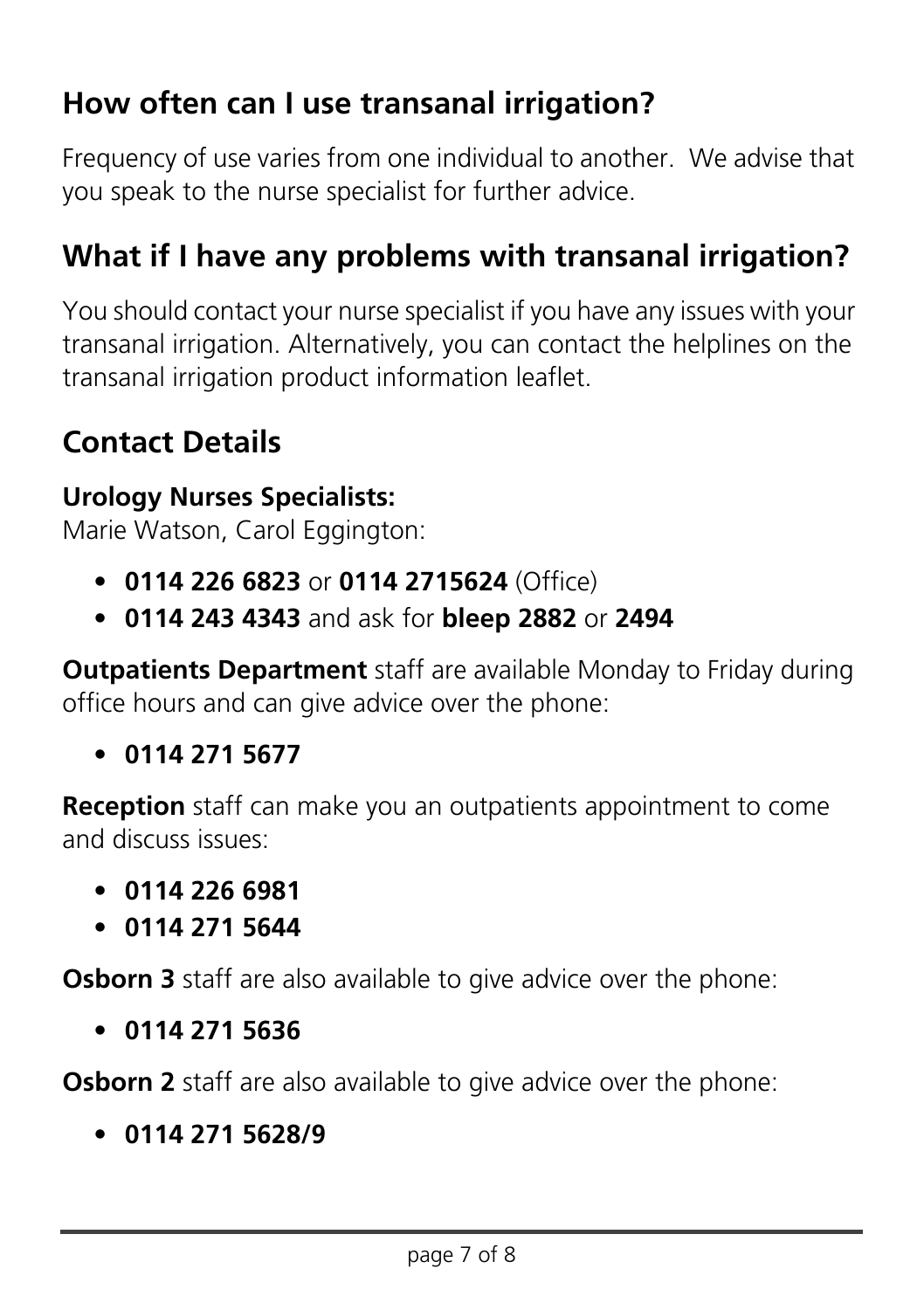#### **How often can I use transanal irrigation?**

Frequency of use varies from one individual to another. We advise that you speak to the nurse specialist for further advice.

#### **What if I have any problems with transanal irrigation?**

You should contact your nurse specialist if you have any issues with your transanal irrigation. Alternatively, you can contact the helplines on the transanal irrigation product information leaflet.

#### **Contact Details**

#### **Urology Nurses Specialists:**

Marie Watson, Carol Eggington:

- **0114 226 6823** or **0114 2715624** (Office)
- **0114 243 4343** and ask for **bleep 2882** or **2494**

**Outpatients Department** staff are available Monday to Friday during office hours and can give advice over the phone:

• **0114 271 5677**

**Reception** staff can make you an outpatients appointment to come and discuss issues:

- **0114 226 6981**
- **0114 271 5644**

**Osborn 3** staff are also available to give advice over the phone:

• **0114 271 5636**

**Osborn 2** staff are also available to give advice over the phone:

• **0114 271 5628/9**